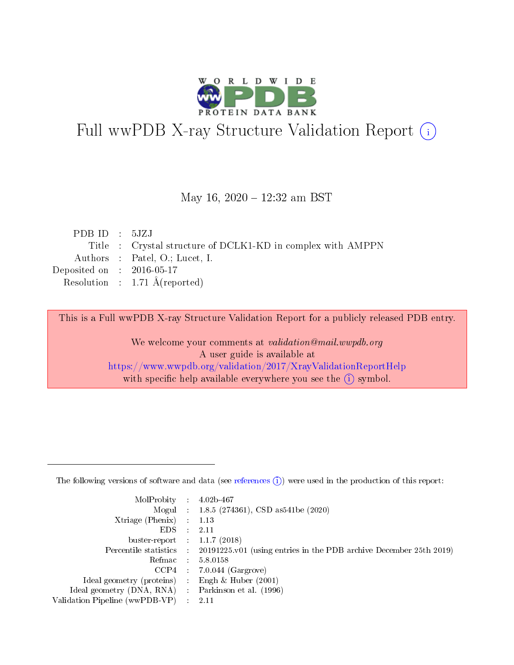

# Full wwPDB X-ray Structure Validation Report (i)

#### May 16, 2020 - 12:32 am BST

| PDBID : 5JZJ                                                |
|-------------------------------------------------------------|
| Title : Crystal structure of DCLK1-KD in complex with AMPPN |
| Authors : Patel, O.; Lucet, I.                              |
| Deposited on : $2016-05-17$                                 |
| Resolution : $1.71 \text{ Å}$ (reported)                    |
|                                                             |

This is a Full wwPDB X-ray Structure Validation Report for a publicly released PDB entry.

We welcome your comments at validation@mail.wwpdb.org A user guide is available at <https://www.wwpdb.org/validation/2017/XrayValidationReportHelp> with specific help available everywhere you see the  $(i)$  symbol.

The following versions of software and data (see [references](https://www.wwpdb.org/validation/2017/XrayValidationReportHelp#references)  $(1)$ ) were used in the production of this report:

| $MolProbability$ 4.02b-467                          |                                                                                            |
|-----------------------------------------------------|--------------------------------------------------------------------------------------------|
|                                                     | Mogul : $1.8.5$ (274361), CSD as 541be (2020)                                              |
| $Xtriangle (Phenix)$ : 1.13                         |                                                                                            |
| $EDS$ :                                             | -2.11                                                                                      |
| buster-report : $1.1.7(2018)$                       |                                                                                            |
|                                                     | Percentile statistics : 20191225.v01 (using entries in the PDB archive December 25th 2019) |
| Refmac $5.8.0158$                                   |                                                                                            |
|                                                     | $CCP4$ 7.0.044 (Gargrove)                                                                  |
| Ideal geometry (proteins) :                         | Engh $\&$ Huber (2001)                                                                     |
| Ideal geometry (DNA, RNA) : Parkinson et al. (1996) |                                                                                            |
| Validation Pipeline (wwPDB-VP) : 2.11               |                                                                                            |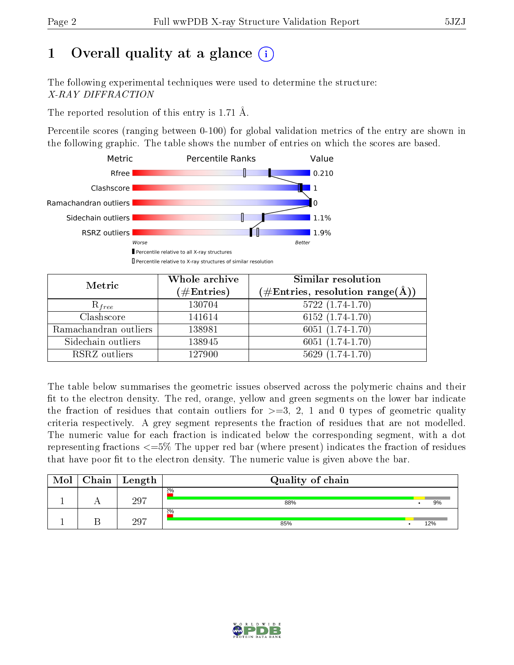# 1 [O](https://www.wwpdb.org/validation/2017/XrayValidationReportHelp#overall_quality)verall quality at a glance  $(i)$

The following experimental techniques were used to determine the structure: X-RAY DIFFRACTION

The reported resolution of this entry is 1.71 Å.

Percentile scores (ranging between 0-100) for global validation metrics of the entry are shown in the following graphic. The table shows the number of entries on which the scores are based.



| Metric                | Whole archive<br>$(\#\text{Entries})$ | Similar resolution<br>(#Entries, resolution range(Å)) |
|-----------------------|---------------------------------------|-------------------------------------------------------|
| $R_{free}$            | 130704                                | $5722(1.74-1.70)$                                     |
| Clashscore            | 141614                                | $6152(1.74-1.70)$                                     |
| Ramachandran outliers | 138981                                | $6051(1.74-1.70)$                                     |
| Sidechain outliers    | 138945                                | $6051(1.74-1.70)$                                     |
| RSRZ outliers         | 127900                                | $5629(1.74-1.70)$                                     |

The table below summarises the geometric issues observed across the polymeric chains and their fit to the electron density. The red, orange, yellow and green segments on the lower bar indicate the fraction of residues that contain outliers for  $>=3, 2, 1$  and 0 types of geometric quality criteria respectively. A grey segment represents the fraction of residues that are not modelled. The numeric value for each fraction is indicated below the corresponding segment, with a dot representing fractions  $\epsilon=5\%$  The upper red bar (where present) indicates the fraction of residues that have poor fit to the electron density. The numeric value is given above the bar.

| Mol | Chain | Length | Quality of chain |     |
|-----|-------|--------|------------------|-----|
|     |       | 297    | 2%<br>88%        | 9%  |
|     |       | 297    | 2%<br>85%        | 12% |

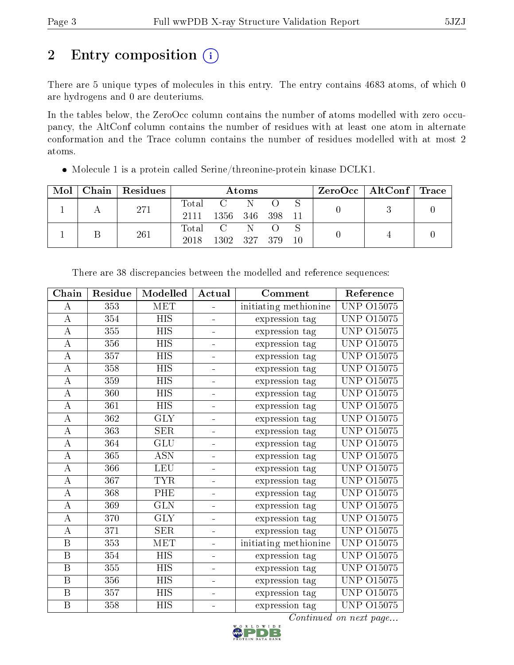# 2 Entry composition (i)

There are 5 unique types of molecules in this entry. The entry contains 4683 atoms, of which 0 are hydrogens and 0 are deuteriums.

In the tables below, the ZeroOcc column contains the number of atoms modelled with zero occupancy, the AltConf column contains the number of residues with at least one atom in alternate conformation and the Trace column contains the number of residues modelled with at most 2 atoms.

| Mol |  | Chain   Residues | <b>Atoms</b> |                 |           |    |  | $\rm ZeroOcc \mid AltConf \mid Trace$ |  |  |
|-----|--|------------------|--------------|-----------------|-----------|----|--|---------------------------------------|--|--|
|     |  | 271              | Total        |                 | $\rm C$ N |    |  |                                       |  |  |
|     |  |                  | 2111         | 1356 346 398 11 |           |    |  |                                       |  |  |
|     |  | 261              | Total        | $\mathbf{C}$ .  | -N-       |    |  |                                       |  |  |
|     |  | 2018             | 1302 327 379 |                 |           | 10 |  |                                       |  |  |

Molecule 1 is a protein called Serine/threonine-protein kinase DCLK1.

| Chain                   | Residue          | Modelled                | Actual        | Comment               |                   |
|-------------------------|------------------|-------------------------|---------------|-----------------------|-------------------|
| A                       | 353              | MET                     |               | initiating methionine | <b>UNP 015075</b> |
| $\overline{\rm A}$      | $\overline{354}$ | $\overline{HIS}$        |               | expression tag        | UNP<br>015075     |
| $\boldsymbol{A}$        | 355              | <b>HIS</b>              |               | expression tag        | UNP 015075        |
| A                       | 356              | <b>HIS</b>              |               | expression tag        | <b>UNP 015075</b> |
| $\bf{A}$                | 357              | <b>HIS</b>              | ÷,            | expression tag        | UNP 015075        |
| А                       | 358              | <b>HIS</b>              | -             | expression tag        | UNP.<br>O15075    |
| $\boldsymbol{A}$        | 359              | <b>HIS</b>              | ÷,            | expression tag        | O15075<br>UNP     |
| $\boldsymbol{A}$        | 360              | <b>HIS</b>              | ÷,            | expression tag        | UNP<br>O15075     |
| $\boldsymbol{A}$        | 361              | $\overline{HIS}$        | $\frac{1}{2}$ | expression tag        | O15075<br>UNP     |
| А                       | 362              | <b>GLY</b>              |               | expression tag        | UNP 015075        |
| $\boldsymbol{A}$        | 363              | <b>SER</b>              |               | expression tag        | <b>UNP 015075</b> |
| $\bf{A}$                | 364              | GLU                     | ÷,            | expression tag        | UNP 015075        |
| $\boldsymbol{A}$        | 365              | <b>ASN</b>              | ÷,            | expression tag        | <b>UNP 015075</b> |
| $\bf{A}$                | 366              | <b>LEU</b>              | ÷,            | expression tag        | O15075<br>UNP     |
| $\boldsymbol{A}$        | 367              | <b>TYR</b>              | ÷,            | expression tag        | UNP<br>O15075     |
| $\mathbf A$             | 368              | PHE                     | ÷,            | expression tag        | O15075<br>UNP     |
| $\boldsymbol{A}$        | 369              | $\overline{\text{GLN}}$ | ÷,            | expression tag        | <b>UNP 015075</b> |
| $\boldsymbol{A}$        | 370              | <b>GLY</b>              |               | expression tag        | <b>UNP 015075</b> |
| $\boldsymbol{A}$        | $\overline{3}71$ | <b>SER</b>              | ÷             | expression tag        | <b>UNP 015075</b> |
| B                       | 353              | <b>MET</b>              | ÷.            | initiating methionine | <b>UNP 015075</b> |
| $\, {\bf B}$            | 354              | <b>HIS</b>              | ÷,            | expression tag        | UNP 015075        |
| B                       | 355              | <b>HIS</b>              | ÷             | expression tag        | UNP<br>O15075     |
| $\, {\bf B}$            | 356              | <b>HIS</b>              | ÷,            | expression tag        | O15075<br>UNP     |
| $\overline{\mathrm{B}}$ | 357              | $\overline{HIS}$        | ÷.            | expression tag        | UNP<br>O15075     |
| B                       | 358              | <b>HIS</b>              |               | expression tag        | UNP 015075        |

There are 38 discrepancies between the modelled and reference sequences:

Continued on next page...

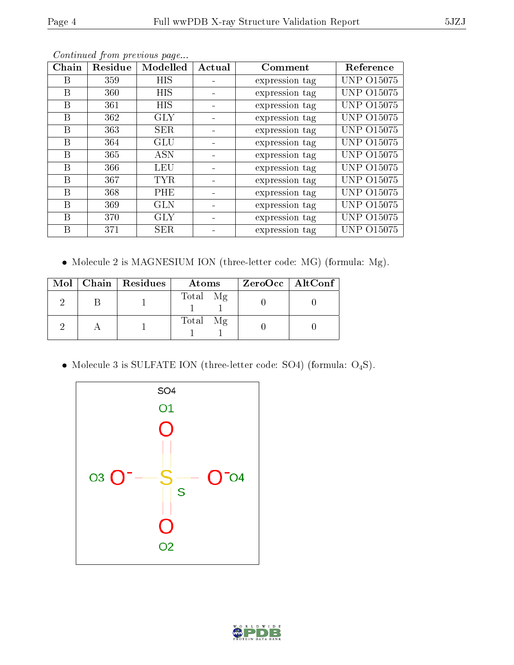| Chain | Residue | Modelled   | Actual | Comment        |                   |
|-------|---------|------------|--------|----------------|-------------------|
| В     | 359     | HIS        |        | expression tag | <b>UNP 015075</b> |
| B     | 360     | <b>HIS</b> |        | expression tag | <b>UNP 015075</b> |
| Β     | 361     | HIS        |        | expression tag | <b>UNP 015075</b> |
| В     | 362     | <b>GLY</b> |        | expression tag | <b>UNP 015075</b> |
| B     | 363     | <b>SER</b> |        | expression tag | UNP 015075        |
| В     | 364     | GLU        |        | expression tag | <b>UNP 015075</b> |
| В     | 365     | <b>ASN</b> |        | expression tag | <b>UNP 015075</b> |
| B     | 366     | <b>LEU</b> |        | expression tag | <b>UNP 015075</b> |
| В     | 367     | <b>TYR</b> |        | expression tag | <b>UNP 015075</b> |
| B     | 368     | PHE        |        | expression tag | <b>UNP 015075</b> |
| B     | 369     | GLN        |        | expression tag | <b>UNP 015075</b> |
| В     | 370     | <b>GLY</b> |        | expression tag | UNP 015075        |
| В     | 371     | <b>SER</b> |        | expression tag | <b>UNP 015075</b> |

Continued from previous page...

Molecule 2 is MAGNESIUM ION (three-letter code: MG) (formula: Mg).

|  | Mol   Chain   Residues | Atoms    | $ZeroOcc$   AltConf |
|--|------------------------|----------|---------------------|
|  |                        | Total Mg |                     |
|  |                        | Total Mg |                     |

 $\bullet$  Molecule 3 is SULFATE ION (three-letter code: SO4) (formula:  $\mathrm{O}_4\mathrm{S}$ ).



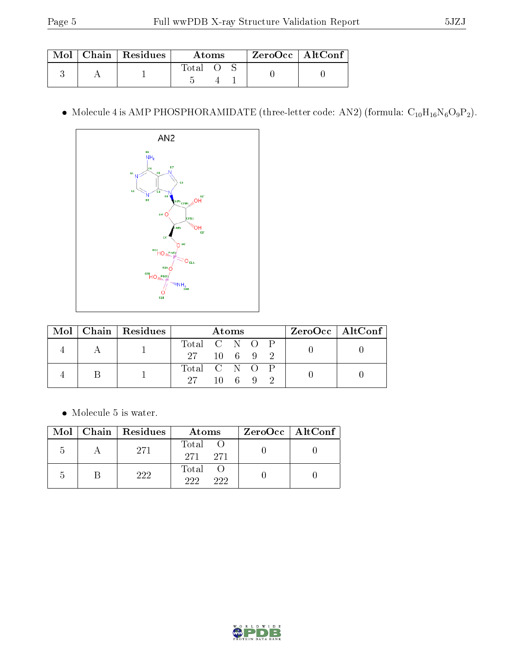|  | $\text{Mol}$   Chain   Residues | Atoms |  | ZeroOcc   AltConf |
|--|---------------------------------|-------|--|-------------------|
|  |                                 | Total |  |                   |

 $\bullet$  Molecule 4 is AMP PHOSPHORAMIDATE (three-letter code: AN2) (formula:  $\mathrm{C}_{10}\mathrm{H}_{16}\mathrm{N}_{6}\mathrm{O}_{9}\mathrm{P}_{2}$ ).



|  |  | Mol   Chain   Residues | Atoms         |                  |  |  |  | $ZeroOcc \   \$ AltConf |
|--|--|------------------------|---------------|------------------|--|--|--|-------------------------|
|  |  |                        | Total C N O P |                  |  |  |  |                         |
|  |  |                        | 27 10 6 9 2   |                  |  |  |  |                         |
|  |  |                        | Total C N O P |                  |  |  |  |                         |
|  |  | -97 -                  |               | $10 \t6 \t9 \t2$ |  |  |  |                         |

 $\bullet\,$  Molecule 5 is water.

|                | Mol   Chain   Residues | Atoms               | $ZeroOcc \   \$ AltConf |
|----------------|------------------------|---------------------|-------------------------|
| $\overline{ }$ | 271                    | Total O<br>271 271  |                         |
|                | 222                    | Total<br>999<br>999 |                         |

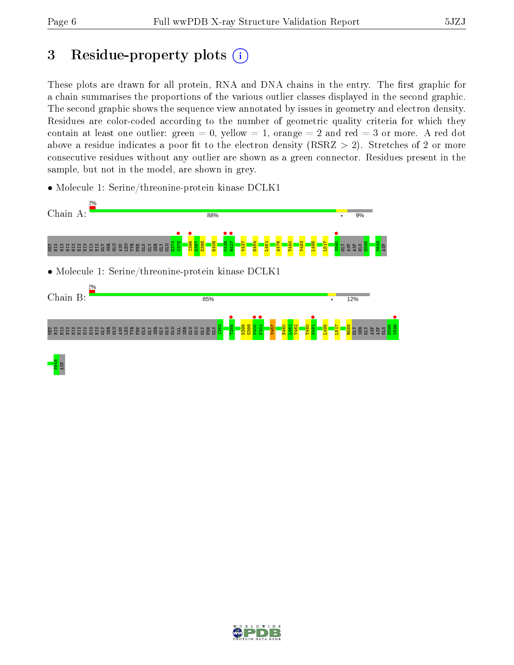# 3 Residue-property plots  $(i)$

These plots are drawn for all protein, RNA and DNA chains in the entry. The first graphic for a chain summarises the proportions of the various outlier classes displayed in the second graphic. The second graphic shows the sequence view annotated by issues in geometry and electron density. Residues are color-coded according to the number of geometric quality criteria for which they contain at least one outlier: green  $= 0$ , yellow  $= 1$ , orange  $= 2$  and red  $= 3$  or more. A red dot above a residue indicates a poor fit to the electron density (RSRZ  $> 2$ ). Stretches of 2 or more consecutive residues without any outlier are shown as a green connector. Residues present in the sample, but not in the model, are shown in grey.

• Molecule 1: Serine/threonine-protein kinase DCLK1



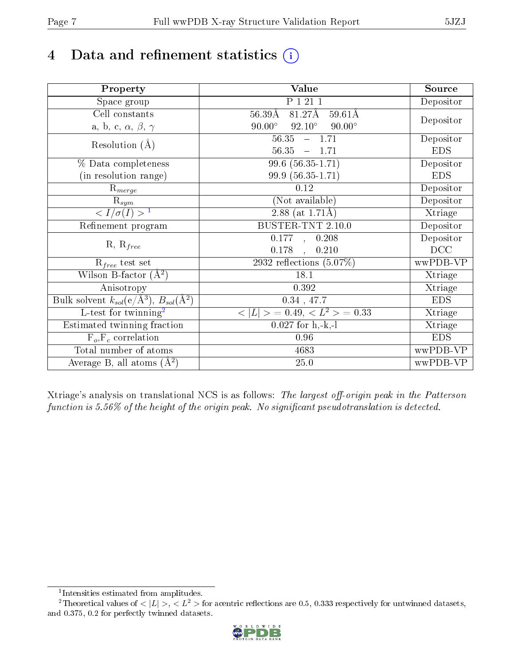# 4 Data and refinement statistics  $(i)$

| Property                                                   | <b>Value</b>                                     | Source     |
|------------------------------------------------------------|--------------------------------------------------|------------|
| Space group                                                | P 1 21 1                                         | Depositor  |
| Cell constants                                             | 81.27Å<br>$56.39\text{\AA}$<br>$59.61\text{\AA}$ |            |
| a, b, c, $\alpha$ , $\beta$ , $\gamma$                     | $90.00^\circ$<br>$92.10^\circ$<br>$90.00^\circ$  | Depositor  |
| Resolution $(A)$                                           | 56.35<br>$-1.71$                                 | Depositor  |
|                                                            | 56.35<br>1.71<br>$\overline{\phantom{0}}$        | <b>EDS</b> |
| % Data completeness                                        | $99.6(56.35-1.71)$                               | Depositor  |
| (in resolution range)                                      | 99.9 (56.35-1.71)                                | <b>EDS</b> |
| $R_{merge}$                                                | 0.12                                             | Depositor  |
| $\mathrm{R}_{sym}$                                         | (Not available)                                  | Depositor  |
| $\langle I/\sigma(I) \rangle^{-1}$                         | 2.88 (at $1.71\text{\AA}$ )                      | Xtriage    |
| Refinement program                                         | BUSTER-TNT 2.10.0                                | Depositor  |
|                                                            | $\overline{0.177}$ ,<br>0.208                    | Depositor  |
| $R, R_{free}$                                              | 0.178<br>0.210<br>$\ddot{\phantom{a}}$           | DCC        |
| $R_{free}$ test set                                        | 2932 reflections $(5.07\%)$                      | wwPDB-VP   |
| Wilson B-factor $(A^2)$                                    | 18.1                                             | Xtriage    |
| Anisotropy                                                 | $0.392\,$                                        | Xtriage    |
| Bulk solvent $k_{sol}$ (e/Å <sup>3</sup> ), $B_{sol}(A^2)$ | 0.34, 47.7                                       | <b>EDS</b> |
| L-test for twinning <sup>2</sup>                           | $< L >$ = 0.49, $< L2$ = 0.33                    | Xtriage    |
| Estimated twinning fraction                                | $0.027$ for h,-k,-l                              | Xtriage    |
| $F_o, F_c$ correlation                                     | 0.96                                             | <b>EDS</b> |
| Total number of atoms                                      | 4683                                             | wwPDB-VP   |
| Average B, all atoms $(A^2)$                               | 25.0                                             | wwPDB-VP   |

Xtriage's analysis on translational NCS is as follows: The largest off-origin peak in the Patterson function is  $5.56\%$  of the height of the origin peak. No significant pseudotranslation is detected.

<sup>&</sup>lt;sup>2</sup>Theoretical values of  $\langle |L| \rangle$ ,  $\langle L^2 \rangle$  for acentric reflections are 0.5, 0.333 respectively for untwinned datasets, and 0.375, 0.2 for perfectly twinned datasets.



<span id="page-6-1"></span><span id="page-6-0"></span><sup>1</sup> Intensities estimated from amplitudes.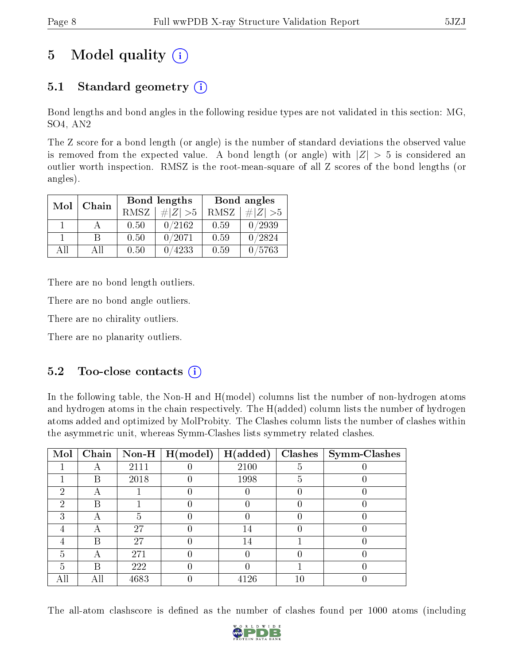# 5 Model quality  $(i)$

## 5.1 Standard geometry  $(i)$

Bond lengths and bond angles in the following residue types are not validated in this section: MG, SO4, AN2

The Z score for a bond length (or angle) is the number of standard deviations the observed value is removed from the expected value. A bond length (or angle) with  $|Z| > 5$  is considered an outlier worth inspection. RMSZ is the root-mean-square of all Z scores of the bond lengths (or angles).

| Mol | Chain |      | Bond lengths | Bond angles |             |  |
|-----|-------|------|--------------|-------------|-------------|--|
|     |       | RMSZ | $\# Z  > 5$  | RMSZ        | $\ Z\  > 5$ |  |
|     |       | 0.50 | 0/2162       | 0.59        | 0/2939      |  |
|     | R     | 0.50 | 0/2071       | 0.59        | 0/2824      |  |
| ΔĦ  | A II  | 0.50 | 4233         | 0.59        | 0/5763      |  |

There are no bond length outliers.

There are no bond angle outliers.

There are no chirality outliers.

There are no planarity outliers.

### $5.2$  Too-close contacts  $\binom{1}{1}$

In the following table, the Non-H and H(model) columns list the number of non-hydrogen atoms and hydrogen atoms in the chain respectively. The H(added) column lists the number of hydrogen atoms added and optimized by MolProbity. The Clashes column lists the number of clashes within the asymmetric unit, whereas Symm-Clashes lists symmetry related clashes.

| Mol |   |      | $\boxed{\text{Chain}}$ Non-H   H(model) | H(added) |    | $Clashes$   Symm-Clashes |
|-----|---|------|-----------------------------------------|----------|----|--------------------------|
|     |   | 2111 |                                         | 2100     |    |                          |
|     | В | 2018 |                                         | 1998     | 5  |                          |
| 2   |   |      |                                         |          |    |                          |
| 2   | В |      |                                         |          |    |                          |
| 3   | А | 5    |                                         |          |    |                          |
|     |   | 27   |                                         | 14       |    |                          |
|     | В | 27   |                                         | 14       |    |                          |
| 5   | А | 271  |                                         |          |    |                          |
| 5   | В | 222  |                                         |          |    |                          |
| All |   | 4683 |                                         | 4126     | 10 |                          |

The all-atom clashscore is defined as the number of clashes found per 1000 atoms (including

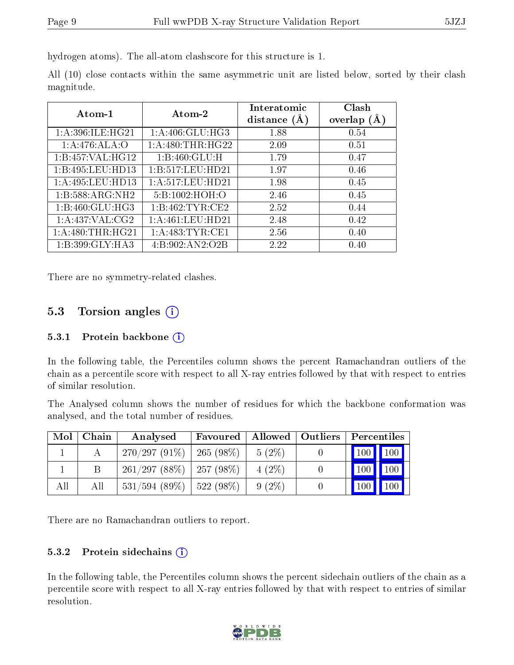hydrogen atoms). The all-atom clashscore for this structure is 1.

All (10) close contacts within the same asymmetric unit are listed below, sorted by their clash magnitude.

| Atom-1              | Atom-2            | Interatomic<br>distance $(A)$ | Clash<br>overlap $(A)$ |  |
|---------------------|-------------------|-------------------------------|------------------------|--|
| 1:A:396:ILE:HG21    | 1:A:406:GLU:HG3   | 1.88                          | 0.54                   |  |
| 1:A:476:ALA:O       | 1: A:480:THR:HG22 | 2.09                          | 0.51                   |  |
| 1:B:457:VAL:HG12    | 1:B:460:GLU:H     | 1.79                          | 0.47                   |  |
| 1:B:495:LEU:HD13    | 1:B:517:LEU:HD21  | 1.97                          | 0.46                   |  |
| 1:A:495:LEU:HD13    | 1:A:517:LEU:HD21  | 1.98                          | 0.45                   |  |
| 1:B:588:ARG:NH2     | 5:B:1002:HOH:O    | 2.46                          | 0.45                   |  |
| 1:B:460:GLU:HG3     | 1:B:462:TYR:CE2   | 2.52                          | 0.44                   |  |
| 1:A:437:VAL:CG2     | 1:A:461:LEU:HD21  | 2.48                          | 0.42                   |  |
| $1:$ A:480:THR:HG21 | 1: A:483:TYR:CE1  | 2.56                          | 0.40                   |  |
| 1:B:399:GLY:HA3     | 4:B:902:AN2:O2B   | 2.22                          | 0.40                   |  |

There are no symmetry-related clashes.

### 5.3 Torsion angles (i)

#### 5.3.1 Protein backbone  $(i)$

In the following table, the Percentiles column shows the percent Ramachandran outliers of the chain as a percentile score with respect to all X-ray entries followed by that with respect to entries of similar resolution.

The Analysed column shows the number of residues for which the backbone conformation was analysed, and the total number of residues.

| Mol | Chain | Analysed                      | Favoured         | <b>Allowed</b> | Outliers | Percentiles                 |                    |
|-----|-------|-------------------------------|------------------|----------------|----------|-----------------------------|--------------------|
|     |       | $270/297(91\%)$               | $\pm 265~(98\%)$ | $5(2\%)$       |          | $\boxed{100}$ $\boxed{100}$ |                    |
|     |       | $261/297(88\%)$   257 (98\%)  |                  | $4(2\%)$       |          | 100                         | $\blacksquare$ 100 |
| All | Аll   | $531/594$ (89\%)   522 (98\%) |                  | $9(2\%)$       |          | 100                         | 100                |

There are no Ramachandran outliers to report.

#### 5.3.2 Protein sidechains  $(i)$

In the following table, the Percentiles column shows the percent sidechain outliers of the chain as a percentile score with respect to all X-ray entries followed by that with respect to entries of similar resolution.

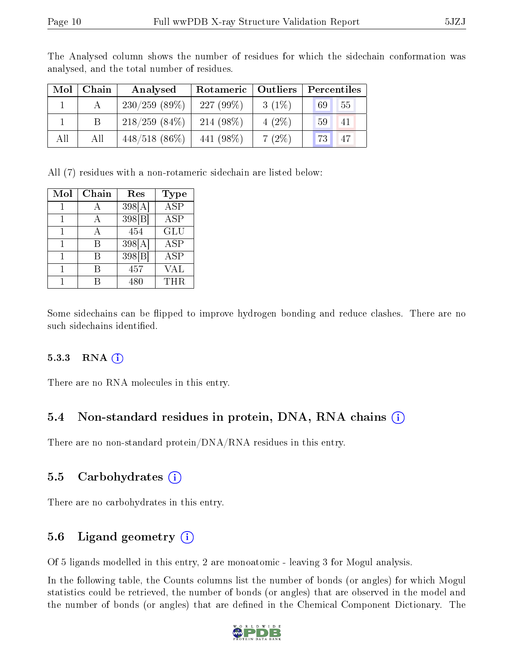| Mol | Chain | Analysed         | Rotameric   Outliers |          | Percentiles           |  |  |
|-----|-------|------------------|----------------------|----------|-----------------------|--|--|
|     |       | 230/259(89%)     | $227(99\%)$          | $3(1\%)$ | 155<br>69             |  |  |
|     |       | $218/259$ (84\%) | 214 (98\%)           | $4(2\%)$ | 59<br>41              |  |  |
| All | All   | $448/518(86\%)$  | 441 (98\%)           | 7(2%)    | 73 <sup>1</sup><br>47 |  |  |

The Analysed column shows the number of residues for which the sidechain conformation was analysed, and the total number of residues.

All (7) residues with a non-rotameric sidechain are listed below:

| Mol | ${\rm Chain}$ | Res                | Type       |
|-----|---------------|--------------------|------------|
|     |               | 398[A]             | <b>ASP</b> |
|     |               | 398 <sub>[B]</sub> | <b>ASP</b> |
|     |               | 454                | <b>GLU</b> |
|     | R             | 398[A]             | <b>ASP</b> |
|     | R             | 398 B              | <b>ASP</b> |
|     | R             | 457                | VAL        |
|     | R             | 480                | <b>THR</b> |

Some sidechains can be flipped to improve hydrogen bonding and reduce clashes. There are no such sidechains identified.

#### 5.3.3 RNA (1)

There are no RNA molecules in this entry.

#### 5.4 Non-standard residues in protein, DNA, RNA chains (i)

There are no non-standard protein/DNA/RNA residues in this entry.

#### 5.5 Carbohydrates (i)

There are no carbohydrates in this entry.

#### 5.6 Ligand geometry  $(i)$

Of 5 ligands modelled in this entry, 2 are monoatomic - leaving 3 for Mogul analysis.

In the following table, the Counts columns list the number of bonds (or angles) for which Mogul statistics could be retrieved, the number of bonds (or angles) that are observed in the model and the number of bonds (or angles) that are dened in the Chemical Component Dictionary. The

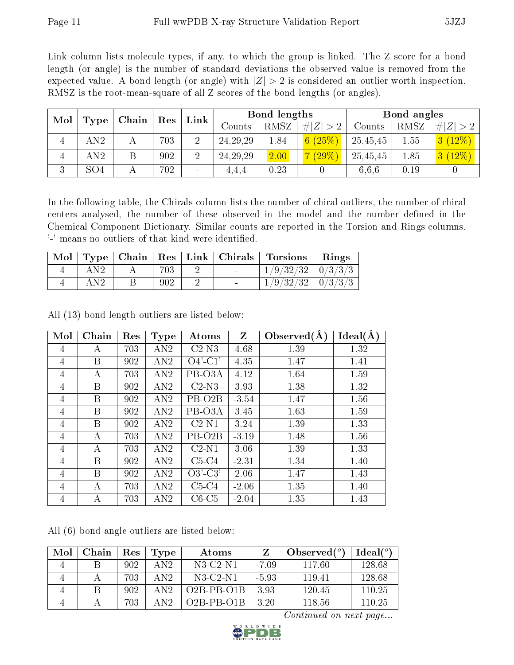Link column lists molecule types, if any, to which the group is linked. The Z score for a bond length (or angle) is the number of standard deviations the observed value is removed from the expected value. A bond length (or angle) with  $|Z| > 2$  is considered an outlier worth inspection. RMSZ is the root-mean-square of all Z scores of the bond lengths (or angles).

| Mol | Type            | Chain |     | Link<br>$\operatorname{Res}% \left( \mathcal{N}\right) \equiv\operatorname*{Res}\left( \mathcal{N}\right)$ |                   | Bond lengths |             |          | Bond angles |             |  |
|-----|-----------------|-------|-----|------------------------------------------------------------------------------------------------------------|-------------------|--------------|-------------|----------|-------------|-------------|--|
|     |                 |       |     |                                                                                                            | $\mathrm{Counts}$ | RMSZ         | Z  > 2<br># | Counts   | RMSZ        | # $ Z  > 2$ |  |
| 4   | AN2             |       | 703 | $\overline{2}$                                                                                             | 24, 29, 29        | 1.84         | 6(25%)      | 25,45,45 | 1.55        | 3(12%)      |  |
|     | AN2             |       | 902 | റ                                                                                                          | 24, 29, 29        | 2.00         | $(29\%)$    | 25,45,45 | 1.85        | 3(12%)      |  |
| 3   | SO <sub>4</sub> |       | 702 | $\qquad \qquad$                                                                                            | 4.4.4             | 0.23         |             | 6.6.6    | 0.19        |             |  |

In the following table, the Chirals column lists the number of chiral outliers, the number of chiral centers analysed, the number of these observed in the model and the number defined in the Chemical Component Dictionary. Similar counts are reported in the Torsion and Rings columns. '-' means no outliers of that kind were identified.

| $\operatorname{Mol}$ $\vdash$ |           |     |        | Type   Chain   Res   Link   Chirals   Torsions | Rings |
|-------------------------------|-----------|-----|--------|------------------------------------------------|-------|
|                               | $\rm AN2$ | 703 |        | $1/9/32/32$   $0/3/3/3$                        |       |
|                               | AN2       | 902 | $\sim$ | $1/9/32/32$   0/3/3/3                          |       |

Mol | Chain | Res | Type | Atoms | Z | Observed(Å) | Ideal(Å)  $4$  | A | 703 | AN2 | C2-N3 | 4.68 | 1.39 | 1.32 4 | B | 902 | AN2 | O4'-C1' | 4.35 | 1.47 | 1.41 4 | A | 703 | AN2 | PB-O3A | 4.12 | 1.64 | 1.59 4 | B | 902 | AN2 | C2-N3 | 3.93 | 1.38 | 1.32 4 | B | 902 | AN2 | PB-O2B | -3.54 | 1.47 | 1.56 4 | B | 902 | AN2 | PB-O3A | 3.45 | 1.63 | 1.59 4 | B | 902 | AN2 | C2-N1 | 3.24 | 1.39 | 1.33 4 | A | 703 | AN2 | PB-O2B | -3.19 | 1.48 | 1.56 4 | A | 703 | AN2 | C2-N1 | 3.06 | 1.39 | 1.33 4 | B | 902 | AN2 | C5-C4 | -2.31 | 1.34 | 1.40 4 | B | 902 | AN2 | O3'-C3' | 2.06 | 1.47 | 1.43 4 | A | 703 | AN2 | C5-C4 | -2.06 | 1.35 | 1.40  $4 \mid A \mid 703 \mid AN2 \mid CG-C5 \mid -2.04 \mid 1.35 \mid 1.43$ 

All (13) bond length outliers are listed below:

All (6) bond angle outliers are listed below:

| Mol | Chain | Res | Type             | Atoms            |         | Observed $(°)$ | $Ideal(^{\circ})$ |
|-----|-------|-----|------------------|------------------|---------|----------------|-------------------|
|     |       | 902 | $\text{AN}2$     | $N3-C2-N1$       | $-7.09$ | 117.60         | 128.68            |
|     |       | 703 | AN2              | $N3$ -C2-N1      | $-5.93$ | 119.41         | 128.68            |
|     | В     | 902 | $\text{AN}2$     | $O2B$ -PB- $O1B$ | 3.93    | 120.45         | 110.25            |
|     |       | 703 | $\overline{AY2}$ | $O2B$ -PB- $O1B$ | 3.20    | 118.56         | 110.25            |

Continued on next page...

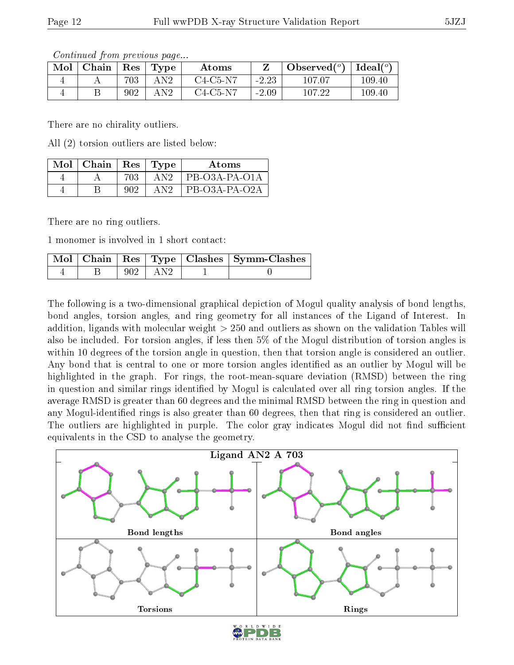Continued from previous page...

| Mol | Chain | Res | Type | Atoms      |               | Observed $(°)$ | $Ideal({}^o)$ |
|-----|-------|-----|------|------------|---------------|----------------|---------------|
|     |       | 703 | AN2  | $C4-C5-N7$ | ാ റാ<br>-2.20 | 107.07         | 109.40        |
|     |       | 902 | AN2  | $C4-C5-N7$ | $-2.09$       | 107.22         | 109.40        |

There are no chirality outliers.

All (2) torsion outliers are listed below:

| Mol | Chain | $\operatorname{Res}% \left( \mathcal{N}\right) \equiv\operatorname{Res}(\mathcal{N}_{0})\cap\mathcal{N}_{1}$ | $\lceil$ Type . | Atoms           |
|-----|-------|--------------------------------------------------------------------------------------------------------------|-----------------|-----------------|
|     |       | 703                                                                                                          | A N 9           | $PB-O3A-PA-O1A$ |
|     |       | 902                                                                                                          | A N 9           | $PB-O3A-PA-O2A$ |

There are no ring outliers.

1 monomer is involved in 1 short contact:

|  |             | Mol   Chain   Res   Type   Clashes   Symm-Clashes |
|--|-------------|---------------------------------------------------|
|  | $902 + AN2$ |                                                   |

The following is a two-dimensional graphical depiction of Mogul quality analysis of bond lengths, bond angles, torsion angles, and ring geometry for all instances of the Ligand of Interest. In addition, ligands with molecular weight > 250 and outliers as shown on the validation Tables will also be included. For torsion angles, if less then 5% of the Mogul distribution of torsion angles is within 10 degrees of the torsion angle in question, then that torsion angle is considered an outlier. Any bond that is central to one or more torsion angles identified as an outlier by Mogul will be highlighted in the graph. For rings, the root-mean-square deviation (RMSD) between the ring in question and similar rings identified by Mogul is calculated over all ring torsion angles. If the average RMSD is greater than 60 degrees and the minimal RMSD between the ring in question and any Mogul-identified rings is also greater than 60 degrees, then that ring is considered an outlier. The outliers are highlighted in purple. The color gray indicates Mogul did not find sufficient equivalents in the CSD to analyse the geometry.



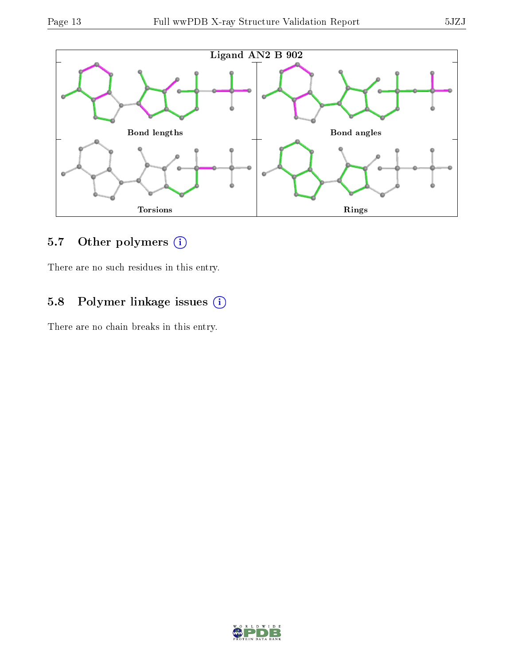

### 5.7 [O](https://www.wwpdb.org/validation/2017/XrayValidationReportHelp#nonstandard_residues_and_ligands)ther polymers (i)

There are no such residues in this entry.

### 5.8 Polymer linkage issues (i)

There are no chain breaks in this entry.

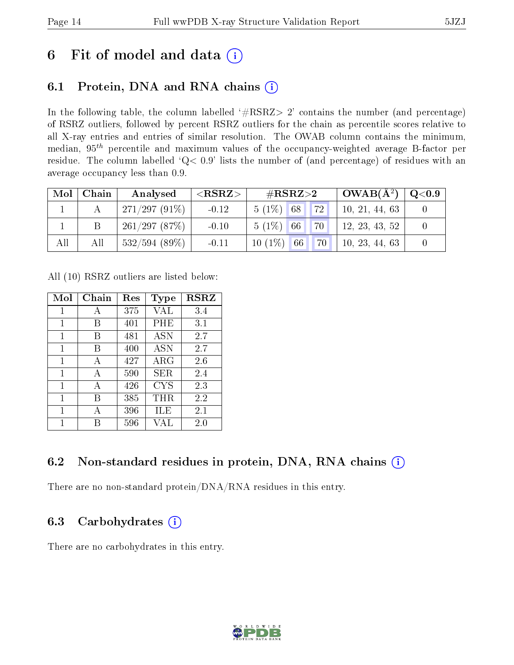## 6 Fit of model and data  $(i)$

### 6.1 Protein, DNA and RNA chains  $(i)$

In the following table, the column labelled  $#RSRZ> 2'$  contains the number (and percentage) of RSRZ outliers, followed by percent RSRZ outliers for the chain as percentile scores relative to all X-ray entries and entries of similar resolution. The OWAB column contains the minimum, median,  $95<sup>th</sup>$  percentile and maximum values of the occupancy-weighted average B-factor per residue. The column labelled ' $Q< 0.9$ ' lists the number of (and percentage) of residues with an average occupancy less than 0.9.

| $\bf{Mol}$ | Chain | Analysed        | $<$ RSRZ $>$ | $\rm \#RSRZ{>}2$          | $\mid$ OWAB(Å <sup>2</sup> ) $\mid$ Q<0.9 $\mid$ |  |
|------------|-------|-----------------|--------------|---------------------------|--------------------------------------------------|--|
|            |       | $271/297(91\%)$ | $-0.12$      | 72 <br>$5(1\%)$ 68        | 10, 21, 44, 63                                   |  |
|            |       | 261/297(87%)    | $-0.10$      | 70 <br>$5(1\%)$ 66        | 12, 23, 43, 52                                   |  |
| All        | All   | 532/594(89%)    | $-0.11$      | $10(1\%)$ 66<br><b>70</b> | 10, 23, 44, 63                                   |  |

All (10) RSRZ outliers are listed below:

| Mol          | Chain | $\operatorname{Res}% \left( \mathcal{N}\right) \equiv\operatorname{Res}(\mathcal{N}_{0})\cap\mathcal{N}_{1}$ | Type        | <b>RSRZ</b> |
|--------------|-------|--------------------------------------------------------------------------------------------------------------|-------------|-------------|
| $\mathbf{1}$ | А     | 375                                                                                                          | VAL         | 3.4         |
| 1            | В     | 401                                                                                                          | PHE         | 3.1         |
| 1            | В     | 481                                                                                                          | <b>ASN</b>  | 2.7         |
| 1            | В     | 400                                                                                                          | <b>ASN</b>  | 2.7         |
| 1            | A     | 427                                                                                                          | ${\rm ARG}$ | 2.6         |
| 1            | A     | 590                                                                                                          | SER         | 2.4         |
| 1            | A     | 426                                                                                                          | <b>CYS</b>  | 2.3         |
| 1            | В     | 385                                                                                                          | $\rm THR$   | 2.2         |
| 1            | А     | 396                                                                                                          | ĦЕ          | 2.1         |
| 1            | R     | 596                                                                                                          | VAI.        | 2.0         |

### 6.2 Non-standard residues in protein, DNA, RNA chains  $(i)$

There are no non-standard protein/DNA/RNA residues in this entry.

### 6.3 Carbohydrates  $(i)$

There are no carbohydrates in this entry.

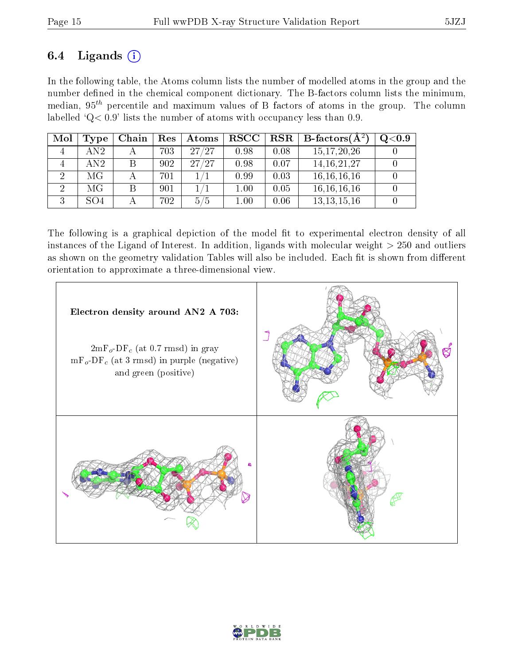### 6.4 Ligands  $(i)$

In the following table, the Atoms column lists the number of modelled atoms in the group and the number defined in the chemical component dictionary. The B-factors column lists the minimum, median,  $95<sup>th</sup>$  percentile and maximum values of B factors of atoms in the group. The column labelled ' $Q< 0.9$ ' lists the number of atoms with occupancy less than 0.9.

| Mol | Type | Chain | Res | Atoms | $_{\rm RSCC}$ | $_{\rm RSR}$ | $\mathbf{B}\text{-factors}(\mathbf{A}^2)$ | $\rm Q\textcolor{black}{<}0.9$ |
|-----|------|-------|-----|-------|---------------|--------------|-------------------------------------------|--------------------------------|
| 4   | AN2  |       | 703 | 27/27 | 0.98          | 0.08         | 15, 17, 20, 26                            |                                |
|     | AN2  |       | 902 | 27/27 | 0.98          | 0.07         | 14, 16, 21, 27                            |                                |
|     | МG   |       | 701 |       | 0.99          | 0.03         | 16, 16, 16, 16                            |                                |
|     | МG   |       | 901 |       | 1.00          | 0.05         | 16, 16, 16, 16                            |                                |
| ÷)  | SO4  |       | 702 | 5/5   | $1.00\,$      | 0.06         | 13, 13, 15, 16                            |                                |

The following is a graphical depiction of the model fit to experimental electron density of all instances of the Ligand of Interest. In addition, ligands with molecular weight  $> 250$  and outliers as shown on the geometry validation Tables will also be included. Each fit is shown from different orientation to approximate a three-dimensional view.